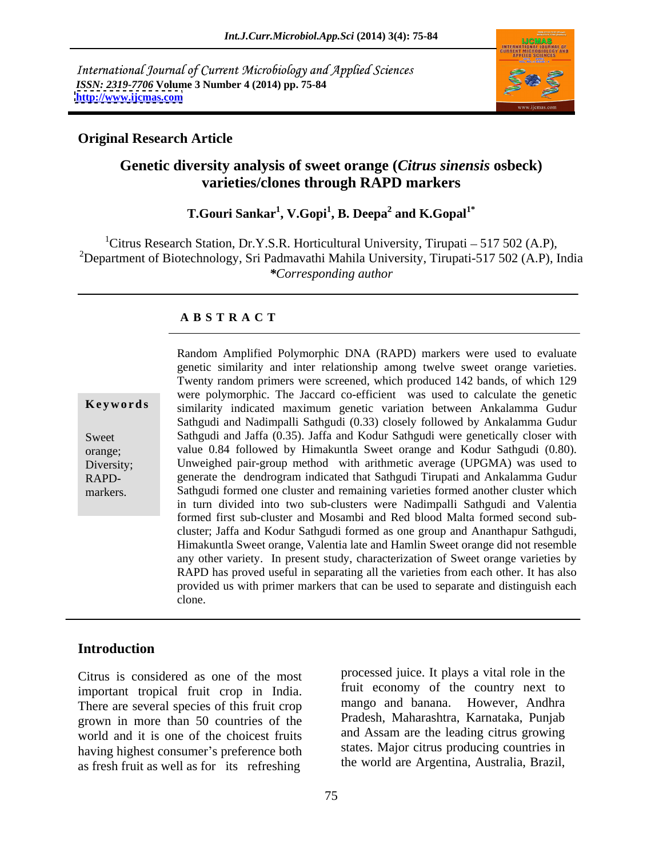International Journal of Current Microbiology and Applied Sciences *ISSN: 2319-7706* **Volume 3 Number 4 (2014) pp. 75-84 <http://www.ijcmas.com>**



## **Original Research Article**

## **Genetic diversity analysis of sweet orange (***Citrus sinensis* **osbeck) varieties/clones through RAPD markers**

### $\bf{T.Gouri Sankar}^1, \bf{V.Gopi}^1, \bf{B. Deepa}^2$  and  $\bf{K.Gopal}^{1*}$  **and K.Gopal1\***

<sup>1</sup>Citrus Research Station, Dr.Y.S.R. Horticultural University, Tirupati – 517 502 (A.P), <sup>2</sup>Department of Biotechnology, Sri Padmavathi Mahila University, Tirupati-517 502 (A.P), India *\*Corresponding author*

## **A B S T R A C T**

**Keywords** similarity indicated maximum genetic variation between Ankalamma Gudur Sweet Sathgudi and Jaffa (0.35). Jaffa and Kodur Sathgudi were genetically closer with orange; value 0.84 followed by Himakuntla Sweet orange and Kodur Sathgudi (0.80). Diversity; Unweighed pair-group method with arithmetic average (UPGMA) was used to RAPD- generate the dendrogram indicated that Sathgudi Tirupati and Ankalamma Gudur Random Amplified Polymorphic DNA (RAPD) markers were used to evaluate<br>genetic similarity and inter relationship among twelve sweet orange varieties.<br>Twenty random primers were screened, which produced 142 bands, of which 1 genetic similarity and inter relationship among twelve sweet orange varieties. Twenty random primers were screened, which produced 142 bands, of which 129 were polymorphic. The Jaccard co-efficient was used to calculate the genetic Sathgudi and Nadimpalli Sathgudi (0.33) closely followed by Ankalamma Gudur Sathgudi formed one cluster and remaining varieties formed another cluster which in turn divided into two sub-clusters were Nadimpalli Sathgudi and Valentia formed first sub-cluster and Mosambi and Red blood Malta formed second sub cluster; Jaffa and Kodur Sathgudi formed as one group and Ananthapur Sathgudi, Himakuntla Sweet orange, Valentia late and Hamlin Sweet orange did not resemble any other variety. In present study, characterization of Sweet orange varieties by RAPD has proved useful in separating all the varieties from each other. It has also provided us with primer markers that can be used to separate and distinguish each clone.

## **Introduction**

Citrus is considered as one of the most important tropical fruit crop in India. It is the conomy of the country next to<br>There are several species of this fruit crop mango and banana. However, Andhra There are several species of this fruit crop grown in more than 50 countries of the world and it is one of the choicest fruits having highest consumer's preference both as fresh fruit as well as for its refreshing

processed juice. It plays a vital role in the fruit economy of the country next to mango and banana. However, Andhra Pradesh, Maharashtra, Karnataka, Punjab and Assam are the leading citrus growing states. Major citrus producing countries in the world are Argentina, Australia, Brazil,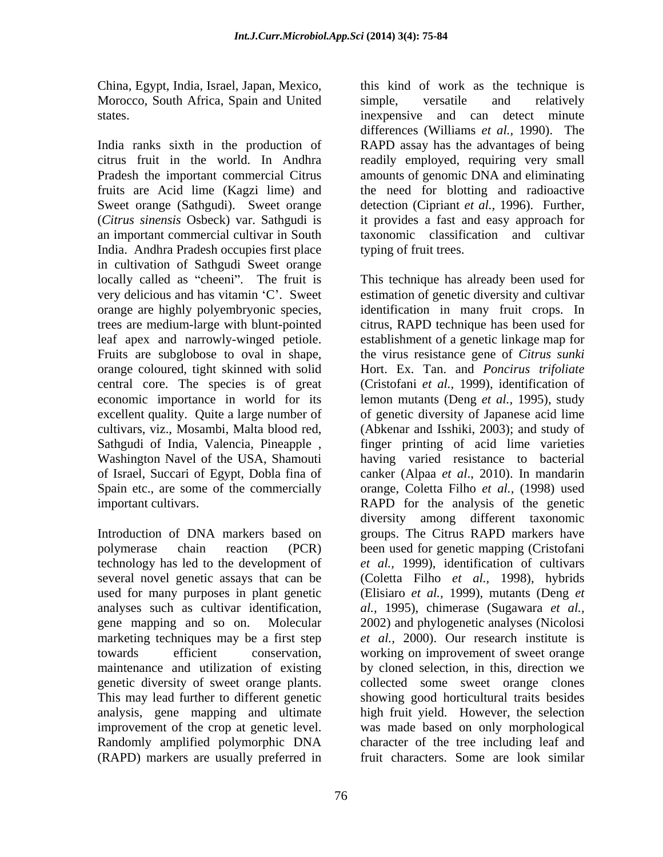Morocco, South Africa, Spain and United simple, versatile and relatively

India ranks sixth in the production of RAPD assay has the advantages of being citrus fruit in the world. In Andhra readily employed, requiring very small Pradesh the important commercial Citrus amounts of genomic DNA and eliminating fruits are Acid lime (Kagzi lime) and the need for blotting and radioactive Sweet orange (Sathgudi). Sweet orange detection (Cipriant *et al.,* 1996). Further, (*Citrus sinensis* Osbeck) var. Sathgudi is an important commercial cultivar in South India. Andhra Pradesh occupies first place in cultivation of Sathgudi Sweet orange

genetic diversity of sweet orange plants. This may lead further to different genetic Randomly amplified polymorphic DNA (RAPD) markers are usually preferred in

China, Egypt, India, Israel, Japan, Mexico, this kind of work as the technique is states. inexpensive and can detect minute simple, versatile and relatively differences (Williams *et al.*, 1990). The it provides a fast and easy approach for taxonomic classification and cultivar typing of fruit trees.

locally called as "cheeni". The fruit is This technique has already been used for very delicious and has vitamin 'C'. Sweet estimation of genetic diversity and cultivar orange are highly polyembryonic species, identification in many fruit crops. In trees are medium-large with blunt-pointed citrus, RAPD technique has been used for leaf apex and narrowly-winged petiole. establishment of a genetic linkage map for Fruits are subglobose to oval in shape, the virus resistance gene of *Citrus sunki* orange coloured, tight skinned with solid Hort. Ex. Tan. and *Poncirus trifoliate* central core. The species is of great (Cristofani *et al.*, 1999), identification of economic importance in world for its lemon mutants (Deng *et al.,* 1995), study excellent quality. Quite a large number of of genetic diversity of Japanese acid lime cultivars, viz., Mosambi, Malta blood red, (Abkenar and Isshiki, 2003); and study of Sathgudi of India, Valencia, Pineapple , Washington Navel of the USA, Shamouti of Israel, Succari of Egypt, Dobla fina of canker (Alpaa *et al*., 2010).In mandarin Spain etc., are some of the commercially orange, Coletta Filho *et al.,* (1998) used important cultivars. RAPD for the analysis of the genetic Introduction of DNA markers based on groups. The Citrus RAPD markers have polymerase chain reaction (PCR) been used for genetic mapping (Cristofani technology has led to the development of *et al.,* 1999), identification of cultivars several novel genetic assays that can be (Coletta Filho *et al.,* 1998), hybrids used for many purposes in plant genetic (Elisiaro *et al.,* 1999), mutants (Deng *et* analyses such as cultivar identification, *al.,* 1995), chimerase (Sugawara *et al.,* gene mapping and so on. Molecular 2002) and phylogenetic analyses (Nicolosi marketing techniques may be a first step *et al.,* 2000). Our research institute is towards efficient conservation, working on improvement of sweet orange maintenance and utilization of existing by cloned selection, in this, direction we analysis, gene mapping and ultimate high fruit yield. However, the selection improvement of the crop at genetic level. was made based on only morphological finger printing of acid lime varieties having varied resistance to bacterial diversity among different taxonomic collected some sweet orange clones showing good horticultural traits besides character of the tree including leaf and fruit characters. Some are look similar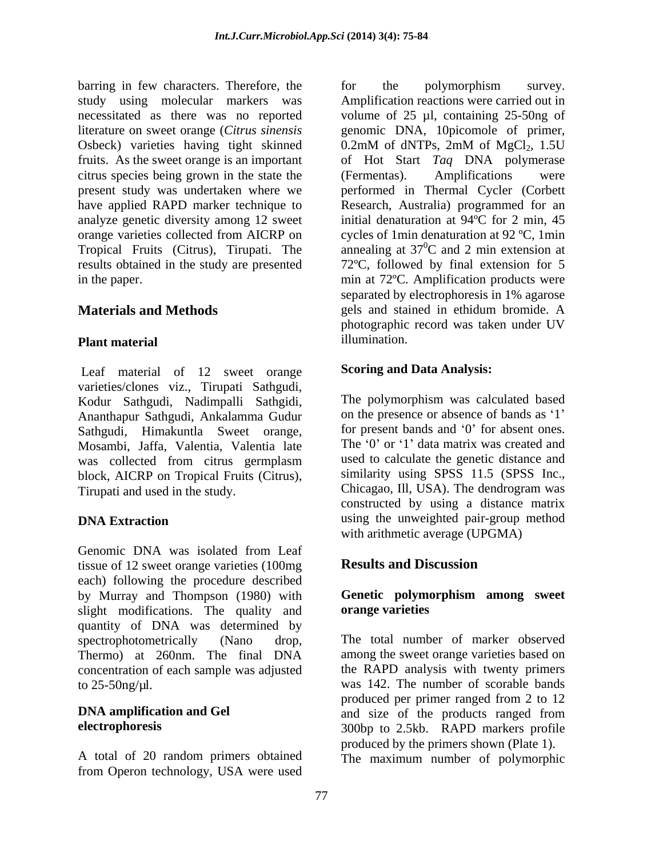barring in few characters. Therefore, the for the polymorphism survey. study using molecular markers was Amplification reactions were carried out in necessitated as there was no reported volume of 25 µl, containing 25-50ng of literature on sweet orange (*Citrus sinensis* genomic DNA, 10picomole of primer, Osbeck) varieties having tight skinned 0.2mM of dNTPs, 2mM of MgCl<sub>2</sub>, 1.5U fruits. As the sweet orange is an important of Hot Start *Taq* DNA polymerase citrus species being grown in the state the (Fermentas). Amplifications were present study was undertaken where we performed in Thermal Cycler (Corbett have applied RAPD marker technique to Research, Australia) programmed for an analyze genetic diversity among 12 sweet orange varieties collected from AICRP on Tropical Fruits (Citrus), Tirupati. The annealing at 37<sup>o</sup>C and 2 min extension at results obtained in the study are presented 72ºC, followed by final extension for 5 in the paper. min at 72ºC. Amplification products were

Leaf material of 12 sweet orange varieties/clones viz., Tirupati Sathgudi, Kodur Sathgudi, Nadimpalli Sathgidi, Ananthapur Sathgudi, Ankalamma Gudur Sathgudi, Himakuntla Sweet orange, Mosambi, Jaffa, Valentia, Valentia late was collected from citrus germplasm block, AICRP on Tropical Fruits (Citrus), similarity using SPSS 11.5 (SPSS Inc., Tirupati and used in the study Chicagao, Ill, USA). The dendrogram was Tirupati and used in the study.

Genomic DNA was isolated from Leaf tissue of 12 sweet orange varieties (100mg Results and Discussion each) following the procedure described by Murray and Thompson (1980) with **Genetic polymorphism among sweet** slight modifications. The quality and **orange varieties** quantity of DNA was determined by spectrophotometrically (Nano drop, The total number of marker observed Thermo) at 260nm. The final DNA concentration of each sample was adjusted

A total of 20 random primers obtained The maximum number of polymorphicfrom Operon technology, USA were used

**Materials and Methods** gels and stained in ethidum bromide. A **Plant material Example 2018 Constant in the interval of the interval of the interval of the interval of the interval of the interval of the interval of the interval of the interval of the interval of the interval of t** for the polymorphism survey.  $0.2 \text{mM}$  of dNTPs,  $2 \text{mM}$  of  $MgCl_2$ ,  $1.5U$ (Fermentas). Amplifications were initial denaturation at 94ºC for 2 min, 45 cycles of 1min denaturation at 92 ºC, 1min  ${}^{0}C$  and 2 min extension at separated by electrophoresis in 1% agarose photographic record was taken under UV illumination.

## **Scoring and Data Analysis:**

**DNA Extraction** using the unweighted pair-group method The polymorphism was calculated based on the presence or absence of bands as '1' for present bands and  $\theta$  for absent ones. The '0' or '1' data matrix was created and used to calculate the genetic distance and similarity using SPSS 11.5 (SPSS Inc., Chicagao, Ill, USA). The dendrogram was constructed by using a distance matrix with arithmetic average (UPGMA)

## **Results and Discussion**

# **orange varieties**

to 25-50ng/µl. was 142. The number of scorable bands **DNA amplification and Gel** and size of the products ranged from **electrophoresis**  300bp to 2.5kb. RAPD markers profile among the sweet orange varieties based on the RAPD analysis with twenty primers produced per primer ranged from 2 to 12 produced by the primers shown (Plate 1).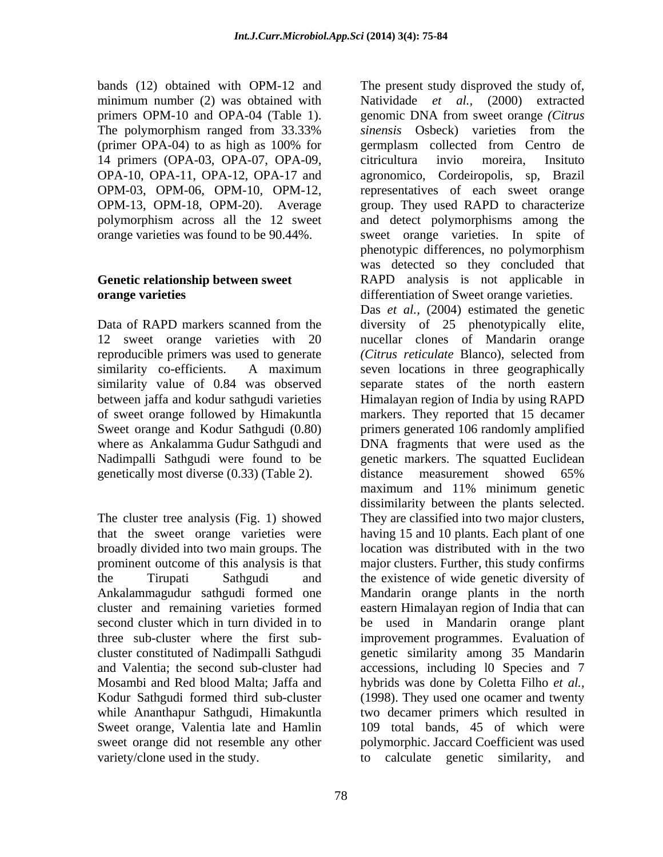14 primers (OPA-03, OPA-07, OPA-09, orange varieties was found to be 90.44%.

12 sweet orange varieties with 20 reproducible primers was used to generate (Citrus reticulate Blanco), selected from genetically most diverse (0.33) (Table 2). distance measurement showed 65%

that the sweet orange varieties were broadly divided into two main groups. The cluster constituted of Nadimpalli Sathgudi genetic similarity among 35 Mandarin and Valentia; the second sub-cluster had accessions, including l0 Species and 7 Mosambi and Red blood Malta; Jaffa and hybrids was done by Coletta Filho *et al.,* Kodur Sathgudi formed third sub-cluster (1998). They used one ocamer and twenty while Ananthapur Sathgudi, Himakuntla Sweet orange, Valentia late and Hamlin 109 total bands, 45 of which were sweet orange did not resemble any other polymorphic. Jaccard Coefficient was used variety/clone used in the study. to calculate genetic similarity, and

bands (12) obtained with OPM-12 and The present study disproved the study of, minimum number (2) was obtained with Natividade *et al.,* (2000) extracted primers OPM-10 and OPA-04 (Table 1). genomic DNA from sweet orange *(Citrus*  The polymorphism ranged from 33.33% sinensis Osbeck) varieties from the (primer OPA-04) to as high as 100% for OPA-10, OPA-11, OPA-12, OPA-17 and agronomico, Cordeiropolis, sp, Brazil OPM-03, OPM-06, OPM-10, OPM-12, representatives of each sweet orange OPM-13, OPM-18, OPM-20). Average group. They used RAPD to characterize polymorphism across all the 12 sweet and detect polymorphisms among the **Genetic relationship between sweet**  RAPD analysis is not applicable in **orange varieties differentiation of Sweet orange varieties.** Data of RAPD markers scanned from the diversity of 25 phenotypically elite, similarity co-efficients. A maximum seven locations in three geographically similarity value of 0.84 was observed separate states of the north eastern between jaffa and kodur sathgudi varieties Himalayan region of India by using RAPD of sweet orange followed by Himakuntla markers. They reported that 15 decamer Sweet orange and Kodur Sathgudi (0.80) primers generated 106 randomly amplified where as Ankalamma Gudur Sathgudi and DNA fragments that were used as the Nadimpalli Sathgudi were found to be genetic markers. The squatted Euclidean The cluster tree analysis (Fig. 1) showed They are classified into two major clusters, prominent outcome of this analysis is that major clusters. Further, this study confirms the Tirupati Sathgudi and the existence of wide genetic diversity of Ankalammagudur sathgudi formed one Mandarin orange plants in the north cluster and remaining varieties formed eastern Himalayan region of India that can second cluster which in turn divided in to be used in Mandarin orange plant three sub-cluster where the first sub- improvement programmes. Evaluation of *sinensis* Osbeck) varieties from the germplasm collected from Centro de citricultura invio moreira, Insituto sweet orange varieties. In spite of phenotypic differences, no polymorphism was detected so they concluded that Das *et al.,* (2004) estimated the genetic nucellar clones of Mandarin orange *(Citrus reticulate* Blanco), selected from distance measurement showed 65% maximum and 11% minimum genetic dissimilarity between the plants selected. having 15 and 10 plants. Each plant of one location was distributed with in the two

two decamer primers which resulted in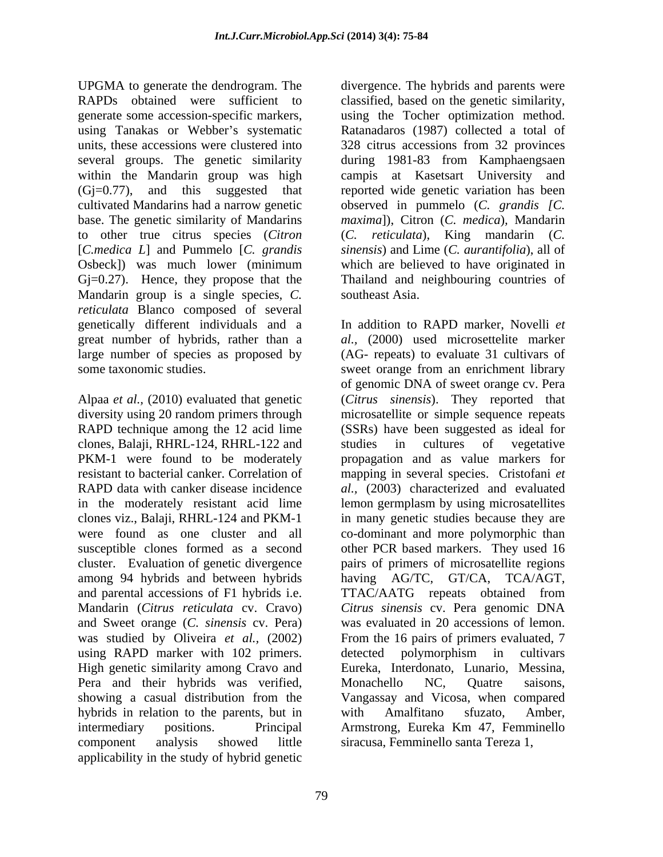UPGMA to generate the dendrogram. The divergence. The hybrids and parents were RAPDs obtained were sufficient to classified, based on the genetic similarity, generate some accession-specific markers, using the Tocher optimization method. using Tanakas or Webber's systematic Ratanadaros (1987) collected a total of units, these accessions were clustered into 328 citrus accessions from 32 provinces several groups. The genetic similarity during 1981-83 from Kamphaengsaen within the Mandarin group was high campis at Kasetsart University and (Gj=0.77), and this suggested that reported wide genetic variation has been cultivated Mandarins had a narrow genetic observed in pummelo (*C. grandis [C.* base. The genetic similarity of Mandarins *maxima*]), Citron (*C. medica*)*,* Mandarin to other true citrus species (*Citron*  [*C.medica L*] and Pummelo [*C. grandis sinensis*) and Lime (*C. aurantifolia*), all of Osbeck]) was much lower (minimum Gj=0.27). Hence, they propose that the Mandarin group is a single species*, C. reticulata* Blanco composed of several genetically different individuals and a great number of hybrids, rather than a large number of species as proposed by (AG- repeats) to evaluate 31 cultivars of

Alpaa *et al.,* (2010) evaluated that genetic (*Citrus sinensis*). They reported that diversity using 20 random primers through microsatellite or simple sequence repeats RAPD technique among the 12 acid lime (SSRs) have been suggested as ideal for clones, Balaji, RHRL-124, RHRL-122 and PKM-1 were found to be moderately resistant to bacterial canker. Correlation of mapping in several species. Cristofani *et*  RAPD data with canker disease incidence *al.,* (2003) characterized and evaluated in the moderately resistant acid lime lemon germplasm by using microsatellites clones viz., Balaji, RHRL-124 and PKM-1 in many genetic studies because they are were found as one cluster and all co-dominant and more polymorphic than susceptible clones formed as a second cluster. Evaluation of genetic divergence pairs of primers of microsatellite regions among 94 hybrids and between hybrids having AG/TC, GT/CA, TCA/AGT, and parental accessions of F1 hybrids i.e. TTAC/AATG repeats obtained from Mandarin (*Citrus reticulata* cv. Cravo) *Citrussinensis* cv. Pera genomic DNA and Sweet orange (*C. sinensis* cv. Pera) was evaluated in 20 accessions of lemon. was studied by Oliveira *et al.,* (2002) From the 16 pairs of primers evaluated, 7 using RAPD marker with 102 primers. detected polymorphism in cultivars High genetic similarity among Cravo and Pera and their hybrids was verified, Monachello NC, Quatre saisons, showing a casual distribution from the hybrids in relation to the parents, but in with Amalfitano sfuzato, Amber, intermediary positions. Principal Armstrong, Eureka Km 47, Femminello component analysis showed little siracusa, Femminello santa Tereza 1, applicability in the study of hybrid genetic

328 citrus accessions from 32 provinces (*C. reticulata*), King mandarin (*C.*  which are believed to have originated in Thailand and neighbouring countries of southeast Asia.

some taxonomic studies. sweet orange from an enrichment library In addition to RAPD marker, Novelli *et al.,* (2000) used microsettelite marker of genomic DNA of sweet orange cv. Pera studies in cultures of vegetative propagation and as value markers for other PCR based markers. They used 16 TTAC/AATG repeats obtained from detected polymorphism in cultivars Eureka, Interdonato, Lunario, Messina, Monachello NC, Quatre saisons, Vangassay and Vicosa, when compared with Amalfitano sfuzato, Amber,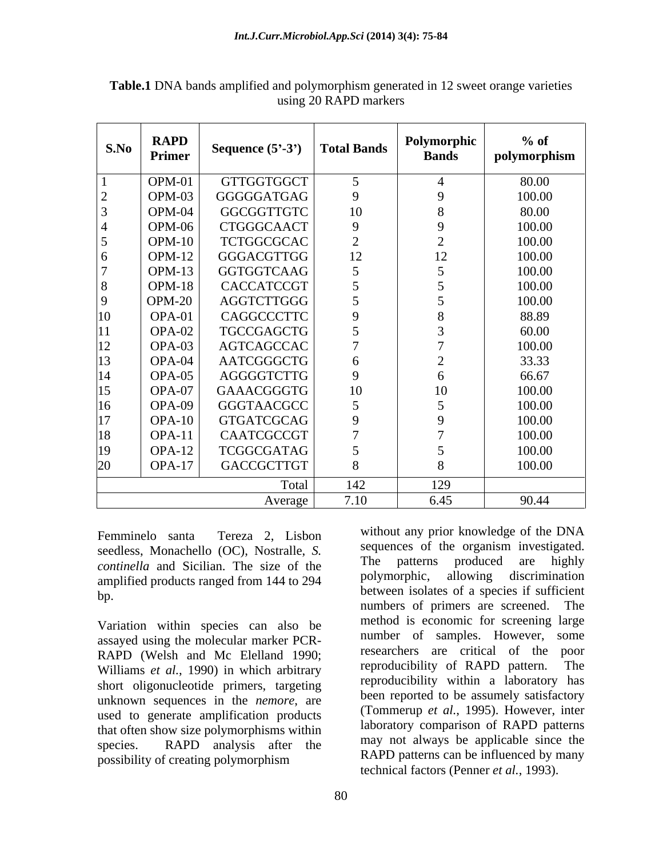| S.No | <b>RAPD</b><br>Primer | Sequence $(5^{\circ}-3^{\circ})$ Total Bands |      | Polymorphic<br><b>Bands</b> | $%$ of<br><sup>1</sup> polymorphism |
|------|-----------------------|----------------------------------------------|------|-----------------------------|-------------------------------------|
|      | OPM-01                | GTTGGTGGCT                                   |      |                             | 80.00                               |
|      | OPM-03                | GGGGGATGAG                                   |      |                             | 100.00                              |
|      | OPM-04                | GGCGGTTGTC                                   | 10   |                             | 80.00                               |
|      | OPM-06                | CTGGGCAACT                                   |      |                             | 100.00                              |
|      | $OPM-10$              | TCTGGCGCAC                                   |      |                             | 100.00                              |
|      | OPM-12                | GGGACGTTGG                                   | 12   | 12                          | 100.00                              |
|      | OPM-13                | GGTGGTCAAG                                   |      |                             | 100.00                              |
|      | OPM-18                | CACCATCCGT                                   |      |                             | 100.00                              |
|      | <b>OPM-20</b>         | AGGTCTTGGG                                   |      |                             | 100.00                              |
|      | OPA-01                | CAGGCCCTTC                                   |      |                             | 88.89                               |
|      | OPA-02                | TGCCGAGCTG                                   |      |                             | 60.00                               |
|      | OPA-03                | AGTCAGCCAC                                   |      |                             | 100.00                              |
|      | OPA-04                | AATCGGGCTG                                   |      |                             | 33.33                               |
|      | OPA-05                | AGGGGTCTTG                                   |      |                             | 66.67                               |
|      | OPA-07                | GAAACGGGTG                                   | 10   | 10                          | 100.00                              |
|      | OPA-09                | GGGTAACGCC                                   |      |                             | 100.00                              |
|      | OPA-10                | GTGATCGCAG                                   |      |                             | 100.00                              |
|      | OPA-11                | CAATCGCCGT                                   |      |                             | 100.00                              |
|      | OPA-12                | TCGGCGATAG                                   |      |                             | 100.00                              |
|      | $OPA-17$              | GACCGCTTGT                                   |      |                             | 100.00                              |
|      |                       | Total                                        | 142  | 129                         |                                     |
|      |                       | Average                                      | 7.10 | 6.45                        | 90.44                               |

**Table.1** DNA bands amplified and polymorphism generated in 12 sweet orange varieties using 20 RAPD markers

Femminelo santa Tereza 2, Lisbon <sup>WILHOUL any</sup> prior knowledge of the DINA seedless, Monachello (OC), Nostralle, *S.* <sup>sequences</sup> of the organism investigated.<br> **Securing the continuity** and Sigilian. The give of the The patterns produced are highly *continella* and Sicilian. The size of the The patterns produced are highly continella and Sicilian. The size of the The patterns produced are highly amplified products ranged from 144 to 294

Variation within species can also be assayed using the molecular marker PCR- RAPD (Welsh and Mc Elelland 1990;<br>Williams et al. 1990) in which arbitrary is reproducibility of RAPD pattern. The Williams *et al.*, 1990) in which arbitrary short oligonucleotide primers, targeting unknown sequences in the *nemore*, are used to generate amplification products that often show size polymorphisms within species. RAPD analysis after the  $\frac{\text{may not always be appropriate since the}}{\text{RAPD}}$ possibility of creating polymorphism

between isolates of a species if sufficient<br>bp. without any prior knowledge of the DNA sequences of the organism investigated. The patterns produced are highly polymorphic, allowing discrimination numbers of primers are screened. The method is economic for screening large number of samples. However, some researchers are critical of the poor reproducibility of RAPD pattern. The reproducibility within a laboratory has been reported to be assumely satisfactory (Tommerup *et al.*, 1995). However, inter laboratory comparison of RAPD patterns may not always be applicable since the RAPD patterns can be influenced by many technical factors (Penner *et al.*, 1993).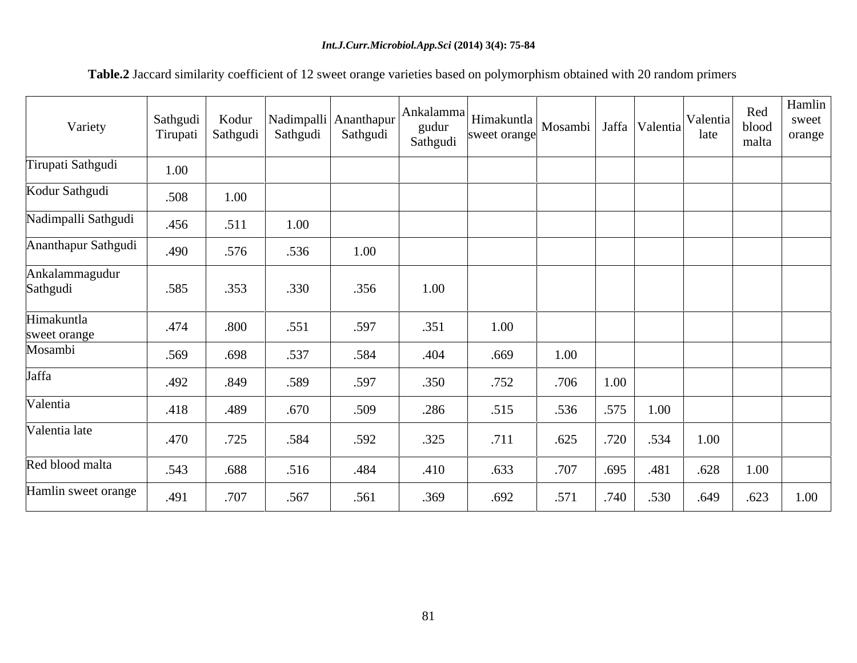## *Int.J.Curr.Microbiol.App.Sci* **(2014) 3(4): 75-84**

 **Table.2** Jaccard similarity coefficient of 12 sweet orange varieties based on polymorphism obtained with 20 random primers

| Variety                    | Sathgudi<br>Tirupati | Kodur<br>Sathgudi |      | Nadimpalli Ananthapur | Ankalamma<br>gudur<br>Sathgudi | <sup>la</sup> Himakuntla Mosambi Jaffa Valentia |      |      |      | Valentia<br>late | Red<br>blood<br>malta | Hamlin<br>sweet<br>orange |
|----------------------------|----------------------|-------------------|------|-----------------------|--------------------------------|-------------------------------------------------|------|------|------|------------------|-----------------------|---------------------------|
| Tirupati Sathgudi          | 1.00                 |                   |      |                       |                                |                                                 |      |      |      |                  |                       |                           |
| Kodur Sathgudi             | .508                 | 1.00              |      |                       |                                |                                                 |      |      |      |                  |                       |                           |
| Nadimpalli Sathgudi        | .456                 | .511              | 1.00 |                       |                                |                                                 |      |      |      |                  |                       |                           |
| Ananthapur Sathgudi        | .490                 | .576              | .536 | 1.00                  |                                |                                                 |      |      |      |                  |                       |                           |
| Ankalammagudur<br>Sathgudi | .585                 | .353              | .330 | .356                  | 1.00                           |                                                 |      |      |      |                  |                       |                           |
| Himakuntla<br>sweet orange | .474                 | .800              | .551 | .597                  | .351                           | 1.00                                            |      |      |      |                  |                       |                           |
| Mosambi                    | .569                 | .698              | .537 | .584                  | .404                           | .669                                            | 1.00 |      |      |                  |                       |                           |
| Jaffa                      | .492                 | .849              | .589 | .597                  | .350                           | .752                                            | .706 | 1.00 |      |                  |                       |                           |
| Valentia                   | .418                 | .489              | .670 | .509                  | .286                           | .515                                            | .536 | .575 | 1.00 |                  |                       |                           |
| Valentia late              | .470                 | .725              | .584 | .592                  | .325                           | .711                                            | .625 | .720 | .534 | 1.00             |                       |                           |
| Red blood malta            | .543                 | .688              | .516 | .484                  | .410                           | .633                                            | .707 | .695 | .481 | .628             | 1.00                  |                           |
| Hamlin sweet orange        | .491                 | .707              | .567 | .561                  | .369                           | .692                                            | .571 | .740 | .530 | .649             | .623                  | 1.00                      |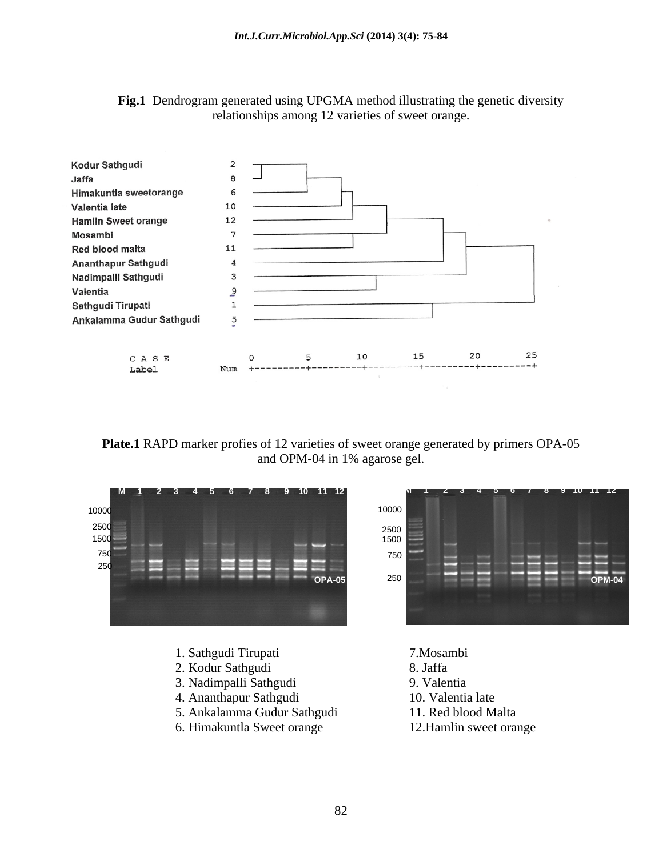



**Plate.1** RAPD marker profies of 12 varieties of sweet orange generated by primers OPA-05 and OPM-04 in 1% agarose gel.



- 1. Sathgudi Tirupati 7.Mosambi
- 2. Kodur Sathgudi 8. Jaffa
- 3. Nadimpalli Sathgudi 9. Valentia
- 4. Ananthapur Sathgudi 10. Valentia late
- 5. Ankalamma Gudur Sathgudi 11. Red blood Malta
- 6. Himakuntla Sweet orange 12.Hamlin sweet orange

10000 **The Contract of the Contract of Contract of the Contract of Contract of Contract of Contract of Contract of Contract of Contract of Contract of Contract of Contract of Contract of Contract of Contract of Contract of** 250 2500 **Participants of the Community Community** and the Community Community Community Community Community Community 750 1500 **OPA-05 OPM-04**

- 
- 
- 
- 
- 
-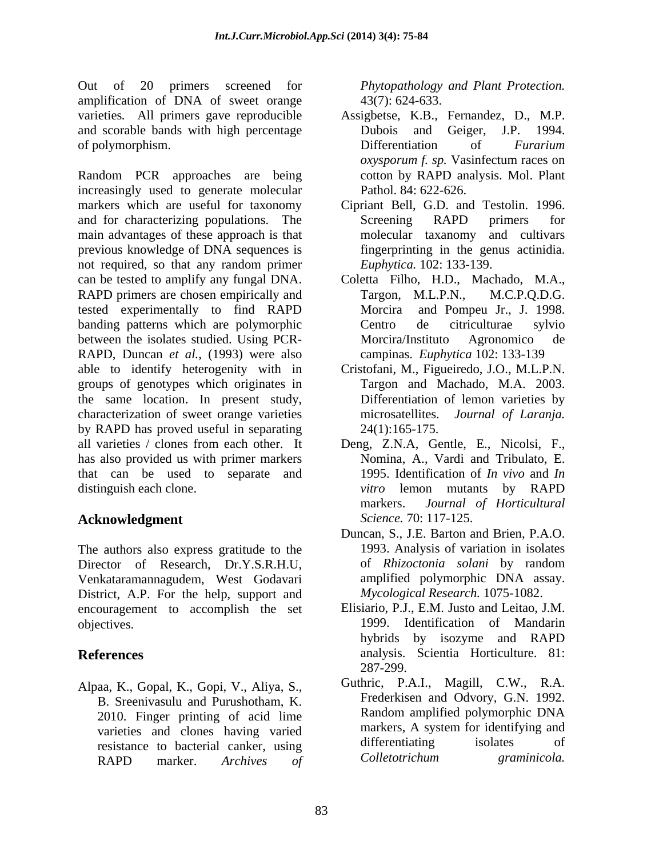Out of 20 primers screened for *Phytopathology and Plant Protection.* amplification of DNA of sweet orange varieties*.* All primers gave reproducible and scorable bands with high percentage Dubois and Geiger, J.P. 1994. of polymorphism.  $\Box$  Differentiation of *Furarium* 

Random PCR approaches are being increasingly used to generate molecular markers which are useful for taxonomy Cipriant Bell, G.D. and Testolin. 1996. and for characterizing populations. The Screening RAPD primers for main advantages of these approach is that previous knowledge of DNA sequences is not required, so that any random primer Euphytica. 102: 133-139. can be tested to amplify any fungal DNA. Coletta Filho, H.D., Machado, M.A., RAPD primers are chosen empirically and Targon, M.L.P.N., M.C.P.Q.D.G. tested experimentally to find RAPD banding patterns which are polymorphic Centro de citriculturae sylvio between the isolates studied. Using PCR-<br>Morcira/Instituto Agronomico de RAPD, Duncan *et al.*, (1993) were also able to identify heterogenity with in Cristofani, M., Figueiredo, J.O., M.L.P.N. groups of genotypes which originates in the same location. In present study, characterization of sweet orange varieties by RAPD has proved useful in separating  $24(1):165-175$ . all varieties / clones from each other. It Deng, Z.N.A, Gentle, E., Nicolsi, F., has also provided us with primer markers that can be used to separate and distinguish each clone.  $\frac{v \cdot \text{if} \cdot \text{if}}{v \cdot \text{if}}$  become mutants by RAPD

## **Acknowledgment**

The authors also express gratitude to the 1993. Analysis of variation in isolates<br>Director of Research. Dr.Y.S.R.H.U. of *Rhizoctonia solani* by random Director of Research, Dr.Y.S.R.H.U, Venkataramannagudem, West Godavari District, A.P. For the help, support and encouragement to accomplish the set

Alpaa, K., Gopal, K., Gopi, V., Aliya, S., B. Sreenivasulu and Purushotham, K. RAPD marker. *Archives of*

43(7): 624-633.

- Assigbetse, K.B., Fernandez, D., M.P. Dubois and Geiger, J.P. 1994. Differentiation of *Furarium oxysporum f. sp.* Vasinfectum races on cotton by RAPD analysis. Mol. Plant Pathol. 84: 622-626.
- Screening RAPD primers for molecular taxanomy and cultivars fingerprinting in the genus actinidia. *Euphytica.* 102: 133-139.
- Targon,  $M.L.P.N.,$ Morcira and Pompeu Jr., J. 1998. Centro de citriculturae sylvio Morcira/Instituto Agronomico de campinas. *Euphytica* 102: 133-139
- Targon and Machado, M.A. 2003. Differentiation of lemon varieties by microsatellites. *Journal of Laranja*.
- Nomina, A., Vardi and Tribulato, E. 1995. Identification of *In vivo* and *In vitro* lemon mutants by RAPD markers. *Journal of Horticultural Science.* 70: 117-125.
- Duncan, S., J.E. Barton and Brien, P.A.O. 1993. Analysis of variation in isolates of *Rhizoctonia solani* by random amplified polymorphic DNA assay. *Mycological Research.* 1075-1082.
- objectives. 1999. Identification of Mandarin **References** analysis. Scientia Horticulture. 81: Elisiario, P.J., E.M. Justo and Leitao, J.M. hybrids by isozyme and RAPD 287-299.
	- 2010. Finger printing of acid lime<br>varieties and clones having varied markers, A system for identifying and varieties and clones having varied markers, A system for identifying and<br>resistance to bacterial canker using differentiating isolates of resistance to bacterial canker, using the differentiating isolates of<br>RAPD marker Archives of Colletotrichum graminicola. Guthric, P.A.I., Magill, C.W., R.A. Frederkisen and Odvory, G.N. 1992. Random amplified polymorphic DNA markers, A system for identifying and differentiating isolates of *Colletotrichum graminicola.*